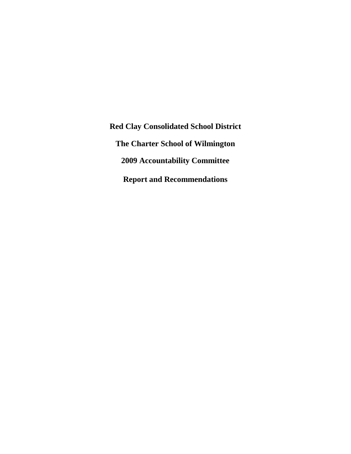**Red Clay Consolidated School District The Charter School of Wilmington 2009 Accountability Committee Report and Recommendations**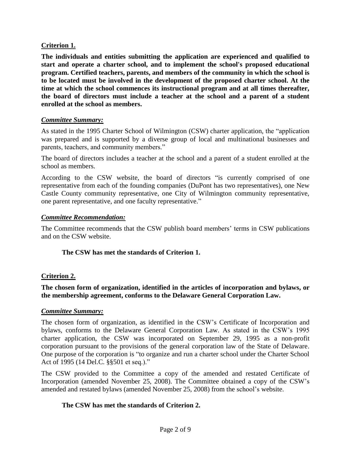# **Criterion 1.**

**The individuals and entities submitting the application are experienced and qualified to start and operate a charter school, and to implement the school's proposed educational program. Certified teachers, parents, and members of the community in which the school is to be located must be involved in the development of the proposed charter school. At the time at which the school commences its instructional program and at all times thereafter, the board of directors must include a teacher at the school and a parent of a student enrolled at the school as members.**

### *Committee Summary:*

As stated in the 1995 Charter School of Wilmington (CSW) charter application, the "application was prepared and is supported by a diverse group of local and multinational businesses and parents, teachers, and community members."

The board of directors includes a teacher at the school and a parent of a student enrolled at the school as members.

According to the CSW website, the board of directors "is currently comprised of one representative from each of the founding companies (DuPont has two representatives), one New Castle County community representative, one City of Wilmington community representative, one parent representative, and one faculty representative."

### *Committee Recommendation:*

The Committee recommends that the CSW publish board members' terms in CSW publications and on the CSW website.

### **The CSW has met the standards of Criterion 1.**

### **Criterion 2.**

**The chosen form of organization, identified in the articles of incorporation and bylaws, or the membership agreement, conforms to the Delaware General Corporation Law.**

### *Committee Summary:*

The chosen form of organization, as identified in the CSW's Certificate of Incorporation and bylaws, conforms to the Delaware General Corporation Law. As stated in the CSW's 1995 charter application, the CSW was incorporated on September 29, 1995 as a non-profit corporation pursuant to the provisions of the general corporation law of the State of Delaware. One purpose of the corporation is "to organize and run a charter school under the Charter School Act of 1995 (14 Del.C. §§501 et seq.)."

The CSW provided to the Committee a copy of the amended and restated Certificate of Incorporation (amended November 25, 2008). The Committee obtained a copy of the CSW's amended and restated bylaws (amended November 25, 2008) from the school's website.

### **The CSW has met the standards of Criterion 2.**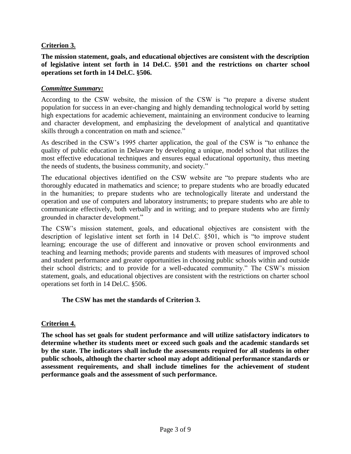# **Criterion 3.**

**The mission statement, goals, and educational objectives are consistent with the description of legislative intent set forth in 14 Del.C. §501 and the restrictions on charter school operations set forth in 14 Del.C. §506.**

#### *Committee Summary:*

According to the CSW website, the mission of the CSW is "to prepare a diverse student population for success in an ever-changing and highly demanding technological world by setting high expectations for academic achievement, maintaining an environment conducive to learning and character development, and emphasizing the development of analytical and quantitative skills through a concentration on math and science."

As described in the CSW's 1995 charter application, the goal of the CSW is "to enhance the quality of public education in Delaware by developing a unique, model school that utilizes the most effective educational techniques and ensures equal educational opportunity, thus meeting the needs of students, the business community, and society."

The educational objectives identified on the CSW website are "to prepare students who are thoroughly educated in mathematics and science; to prepare students who are broadly educated in the humanities; to prepare students who are technologically literate and understand the operation and use of computers and laboratory instruments; to prepare students who are able to communicate effectively, both verbally and in writing; and to prepare students who are firmly grounded in character development."

The CSW's mission statement, goals, and educational objectives are consistent with the description of legislative intent set forth in 14 Del.C. §501, which is "to improve student learning; encourage the use of different and innovative or proven school environments and teaching and learning methods; provide parents and students with measures of improved school and student performance and greater opportunities in choosing public schools within and outside their school districts; and to provide for a well-educated community." The CSW's mission statement, goals, and educational objectives are consistent with the restrictions on charter school operations set forth in 14 Del.C. §506.

### **The CSW has met the standards of Criterion 3.**

### **Criterion 4.**

**The school has set goals for student performance and will utilize satisfactory indicators to determine whether its students meet or exceed such goals and the academic standards set by the state. The indicators shall include the assessments required for all students in other public schools, although the charter school may adopt additional performance standards or assessment requirements, and shall include timelines for the achievement of student performance goals and the assessment of such performance.**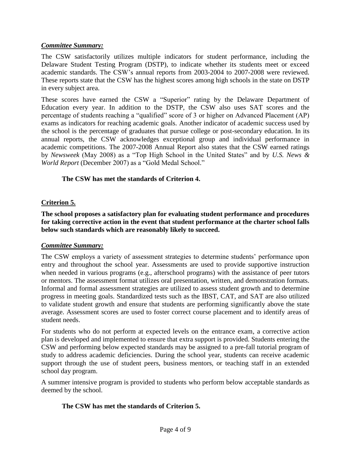### *Committee Summary:*

The CSW satisfactorily utilizes multiple indicators for student performance, including the Delaware Student Testing Program (DSTP), to indicate whether its students meet or exceed academic standards. The CSW's annual reports from 2003-2004 to 2007-2008 were reviewed. These reports state that the CSW has the highest scores among high schools in the state on DSTP in every subject area.

These scores have earned the CSW a "Superior" rating by the Delaware Department of Education every year. In addition to the DSTP, the CSW also uses SAT scores and the percentage of students reaching a "qualified" score of 3 or higher on Advanced Placement (AP) exams as indicators for reaching academic goals. Another indicator of academic success used by the school is the percentage of graduates that pursue college or post-secondary education. In its annual reports, the CSW acknowledges exceptional group and individual performance in academic competitions. The 2007-2008 Annual Report also states that the CSW earned ratings by *Newsweek* (May 2008) as a "Top High School in the United States" and by *U.S. News & World Report* (December 2007) as a "Gold Medal School."

## **The CSW has met the standards of Criterion 4.**

## **Criterion 5.**

**The school proposes a satisfactory plan for evaluating student performance and procedures for taking corrective action in the event that student performance at the charter school falls below such standards which are reasonably likely to succeed.**

### *Committee Summary:*

The CSW employs a variety of assessment strategies to determine students' performance upon entry and throughout the school year. Assessments are used to provide supportive instruction when needed in various programs (e.g., afterschool programs) with the assistance of peer tutors or mentors. The assessment format utilizes oral presentation, written, and demonstration formats. Informal and formal assessment strategies are utilized to assess student growth and to determine progress in meeting goals. Standardized tests such as the IBST, CAT, and SAT are also utilized to validate student growth and ensure that students are performing significantly above the state average. Assessment scores are used to foster correct course placement and to identify areas of student needs.

For students who do not perform at expected levels on the entrance exam, a corrective action plan is developed and implemented to ensure that extra support is provided. Students entering the CSW and performing below expected standards may be assigned to a pre-fall tutorial program of study to address academic deficiencies. During the school year, students can receive academic support through the use of student peers, business mentors, or teaching staff in an extended school day program.

A summer intensive program is provided to students who perform below acceptable standards as deemed by the school.

### **The CSW has met the standards of Criterion 5.**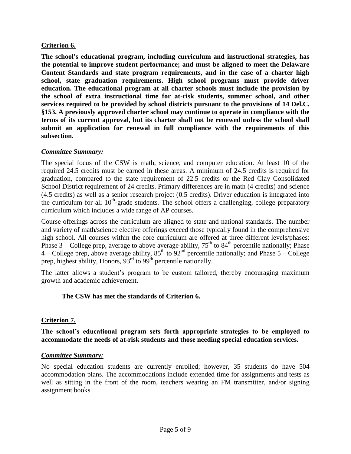# **Criterion 6.**

**The school's educational program, including curriculum and instructional strategies, has the potential to improve student performance; and must be aligned to meet the Delaware Content Standards and state program requirements, and in the case of a charter high school, state graduation requirements. High school programs must provide driver education. The educational program at all charter schools must include the provision by the school of extra instructional time for at-risk students, summer school, and other services required to be provided by school districts pursuant to the provisions of 14 Del.C. §153. A previously approved charter school may continue to operate in compliance with the terms of its current approval, but its charter shall not be renewed unless the school shall submit an application for renewal in full compliance with the requirements of this subsection.**

### *Committee Summary:*

The special focus of the CSW is math, science, and computer education. At least 10 of the required 24.5 credits must be earned in these areas. A minimum of 24.5 credits is required for graduation, compared to the state requirement of 22.5 credits or the Red Clay Consolidated School District requirement of 24 credits. Primary differences are in math (4 credits) and science (4.5 credits) as well as a senior research project (0.5 credits). Driver education is integrated into the curriculum for all  $10<sup>th</sup>$ -grade students. The school offers a challenging, college preparatory curriculum which includes a wide range of AP courses.

Course offerings across the curriculum are aligned to state and national standards. The number and variety of math/science elective offerings exceed those typically found in the comprehensive high school. All courses within the core curriculum are offered at three different levels/phases: Phase  $3$  – College prep, average to above average ability,  $75<sup>th</sup>$  to  $84<sup>th</sup>$  percentile nationally; Phase  $4$  – College prep, above average ability,  $85^{\text{th}}$  to  $92^{\text{nd}}$  percentile nationally; and Phase  $5$  – College prep, highest ability, Honors,  $93<sup>rd</sup>$  to  $99<sup>th</sup>$  percentile nationally.

The latter allows a student's program to be custom tailored, thereby encouraging maximum growth and academic achievement.

### **The CSW has met the standards of Criterion 6.**

# **Criterion 7.**

**The school's educational program sets forth appropriate strategies to be employed to accommodate the needs of at-risk students and those needing special education services.**

### *Committee Summary:*

No special education students are currently enrolled; however, 35 students do have 504 accommodation plans. The accommodations include extended time for assignments and tests as well as sitting in the front of the room, teachers wearing an FM transmitter, and/or signing assignment books.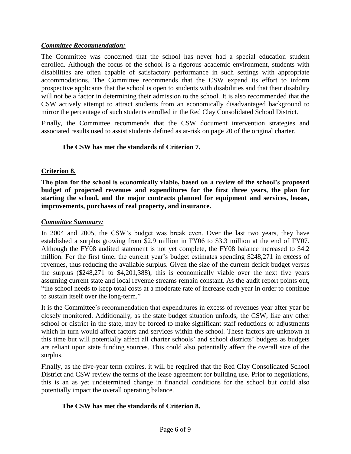## *Committee Recommendation:*

The Committee was concerned that the school has never had a special education student enrolled. Although the focus of the school is a rigorous academic environment, students with disabilities are often capable of satisfactory performance in such settings with appropriate accommodations. The Committee recommends that the CSW expand its effort to inform prospective applicants that the school is open to students with disabilities and that their disability will not be a factor in determining their admission to the school. It is also recommended that the CSW actively attempt to attract students from an economically disadvantaged background to mirror the percentage of such students enrolled in the Red Clay Consolidated School District.

Finally, the Committee recommends that the CSW document intervention strategies and associated results used to assist students defined as at-risk on page 20 of the original charter.

## **The CSW has met the standards of Criterion 7.**

## **Criterion 8.**

**The plan for the school is economically viable, based on a review of the school's proposed budget of projected revenues and expenditures for the first three years, the plan for starting the school, and the major contracts planned for equipment and services, leases, improvements, purchases of real property, and insurance.**

### *Committee Summary:*

In 2004 and 2005, the CSW's budget was break even. Over the last two years, they have established a surplus growing from \$2.9 million in FY06 to \$3.3 million at the end of FY07. Although the FY08 audited statement is not yet complete, the FY08 balance increased to \$4.2 million. For the first time, the current year's budget estimates spending \$248,271 in excess of revenues, thus reducing the available surplus. Given the size of the current deficit budget versus the surplus (\$248,271 to \$4,201,388), this is economically viable over the next five years assuming current state and local revenue streams remain constant. As the audit report points out, "the school needs to keep total costs at a moderate rate of increase each year in order to continue to sustain itself over the long-term."

It is the Committee's recommendation that expenditures in excess of revenues year after year be closely monitored. Additionally, as the state budget situation unfolds, the CSW, like any other school or district in the state, may be forced to make significant staff reductions or adjustments which in turn would affect factors and services within the school. These factors are unknown at this time but will potentially affect all charter schools' and school districts' budgets as budgets are reliant upon state funding sources. This could also potentially affect the overall size of the surplus.

Finally, as the five-year term expires, it will be required that the Red Clay Consolidated School District and CSW review the terms of the lease agreement for building use. Prior to negotiations, this is an as yet undetermined change in financial conditions for the school but could also potentially impact the overall operating balance.

### **The CSW has met the standards of Criterion 8.**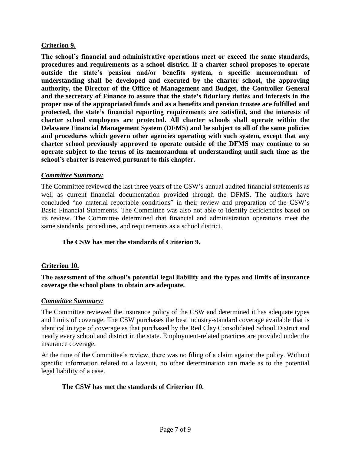## **Criterion 9.**

**The school's financial and administrative operations meet or exceed the same standards, procedures and requirements as a school district. If a charter school proposes to operate outside the state's pension and/or benefits system, a specific memorandum of understanding shall be developed and executed by the charter school, the approving authority, the Director of the Office of Management and Budget, the Controller General and the secretary of Finance to assure that the state's fiduciary duties and interests in the proper use of the appropriated funds and as a benefits and pension trustee are fulfilled and protected, the state's financial reporting requirements are satisfied, and the interests of charter school employees are protected. All charter schools shall operate within the Delaware Financial Management System (DFMS) and be subject to all of the same policies and procedures which govern other agencies operating with such system, except that any charter school previously approved to operate outside of the DFMS may continue to so operate subject to the terms of its memorandum of understanding until such time as the school's charter is renewed pursuant to this chapter.**

### *Committee Summary:*

The Committee reviewed the last three years of the CSW's annual audited financial statements as well as current financial documentation provided through the DFMS. The auditors have concluded "no material reportable conditions" in their review and preparation of the CSW's Basic Financial Statements. The Committee was also not able to identify deficiencies based on its review. The Committee determined that financial and administration operations meet the same standards, procedures, and requirements as a school district.

### **The CSW has met the standards of Criterion 9.**

### **Criterion 10.**

### **The assessment of the school's potential legal liability and the types and limits of insurance coverage the school plans to obtain are adequate.**

### *Committee Summary:*

The Committee reviewed the insurance policy of the CSW and determined it has adequate types and limits of coverage. The CSW purchases the best industry-standard coverage available that is identical in type of coverage as that purchased by the Red Clay Consolidated School District and nearly every school and district in the state. Employment-related practices are provided under the insurance coverage.

At the time of the Committee's review, there was no filing of a claim against the policy. Without specific information related to a lawsuit, no other determination can made as to the potential legal liability of a case.

### **The CSW has met the standards of Criterion 10.**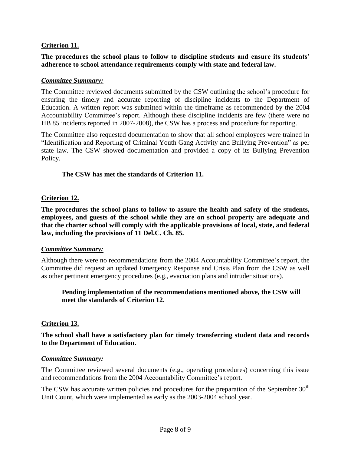# **Criterion 11.**

## **The procedures the school plans to follow to discipline students and ensure its students' adherence to school attendance requirements comply with state and federal law.**

#### *Committee Summary:*

The Committee reviewed documents submitted by the CSW outlining the school's procedure for ensuring the timely and accurate reporting of discipline incidents to the Department of Education. A written report was submitted within the timeframe as recommended by the 2004 Accountability Committee's report. Although these discipline incidents are few (there were no HB 85 incidents reported in 2007-2008), the CSW has a process and procedure for reporting.

The Committee also requested documentation to show that all school employees were trained in "Identification and Reporting of Criminal Youth Gang Activity and Bullying Prevention" as per state law. The CSW showed documentation and provided a copy of its Bullying Prevention Policy.

#### **The CSW has met the standards of Criterion 11.**

#### **Criterion 12.**

**The procedures the school plans to follow to assure the health and safety of the students, employees, and guests of the school while they are on school property are adequate and that the charter school will comply with the applicable provisions of local, state, and federal law, including the provisions of 11 Del.C. Ch. 85.**

#### *Committee Summary:*

Although there were no recommendations from the 2004 Accountability Committee's report, the Committee did request an updated Emergency Response and Crisis Plan from the CSW as well as other pertinent emergency procedures (e.g., evacuation plans and intruder situations).

### **Pending implementation of the recommendations mentioned above, the CSW will meet the standards of Criterion 12.**

### **Criterion 13.**

**The school shall have a satisfactory plan for timely transferring student data and records to the Department of Education.**

#### *Committee Summary:*

The Committee reviewed several documents (e.g., operating procedures) concerning this issue and recommendations from the 2004 Accountability Committee's report.

The CSW has accurate written policies and procedures for the preparation of the September  $30<sup>th</sup>$ Unit Count, which were implemented as early as the 2003-2004 school year.